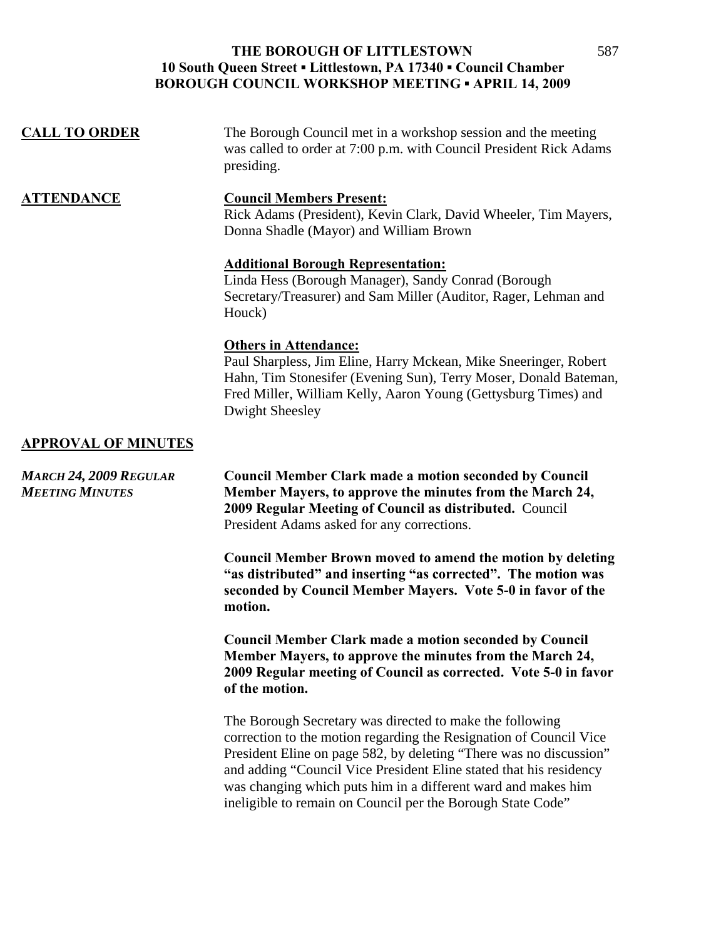| <b>CALL TO ORDER</b>                                    | The Borough Council met in a workshop session and the meeting<br>was called to order at 7:00 p.m. with Council President Rick Adams<br>presiding.                                                                                                         |
|---------------------------------------------------------|-----------------------------------------------------------------------------------------------------------------------------------------------------------------------------------------------------------------------------------------------------------|
| <b>ATTENDANCE</b>                                       | <b>Council Members Present:</b><br>Rick Adams (President), Kevin Clark, David Wheeler, Tim Mayers,<br>Donna Shadle (Mayor) and William Brown                                                                                                              |
|                                                         | <b>Additional Borough Representation:</b><br>Linda Hess (Borough Manager), Sandy Conrad (Borough<br>Secretary/Treasurer) and Sam Miller (Auditor, Rager, Lehman and<br>Houck)                                                                             |
|                                                         | <b>Others in Attendance:</b><br>Paul Sharpless, Jim Eline, Harry Mckean, Mike Sneeringer, Robert<br>Hahn, Tim Stonesifer (Evening Sun), Terry Moser, Donald Bateman,<br>Fred Miller, William Kelly, Aaron Young (Gettysburg Times) and<br>Dwight Sheesley |
| <b>APPROVAL OF MINUTES</b>                              |                                                                                                                                                                                                                                                           |
| <b>MARCH 24, 2009 REGULAR</b><br><b>MEETING MINUTES</b> | <b>Council Member Clark made a motion seconded by Council</b><br>Member Mayers, to approve the minutes from the March 24,<br>2009 Regular Meeting of Council as distributed. Council<br>President Adams asked for any corrections.                        |
|                                                         | <b>Council Member Brown moved to amend the motion by deleting</b><br>"as distributed" and inserting "as corrected". The motion was<br>seconded by Council Member Mayers. Vote 5-0 in favor of the<br>motion.                                              |
|                                                         | <b>Council Member Clark made a motion seconded by Council</b><br>Member Mayers, to approve the minutes from the March 24,<br>2009 Regular meeting of Council as corrected. Vote 5-0 in favor<br>of the motion.                                            |
|                                                         | The Borough Secretary was directed to make the following                                                                                                                                                                                                  |

correction to the motion regarding the Resignation of Council Vice President Eline on page 582, by deleting "There was no discussion" and adding "Council Vice President Eline stated that his residency was changing which puts him in a different ward and makes him ineligible to remain on Council per the Borough State Code"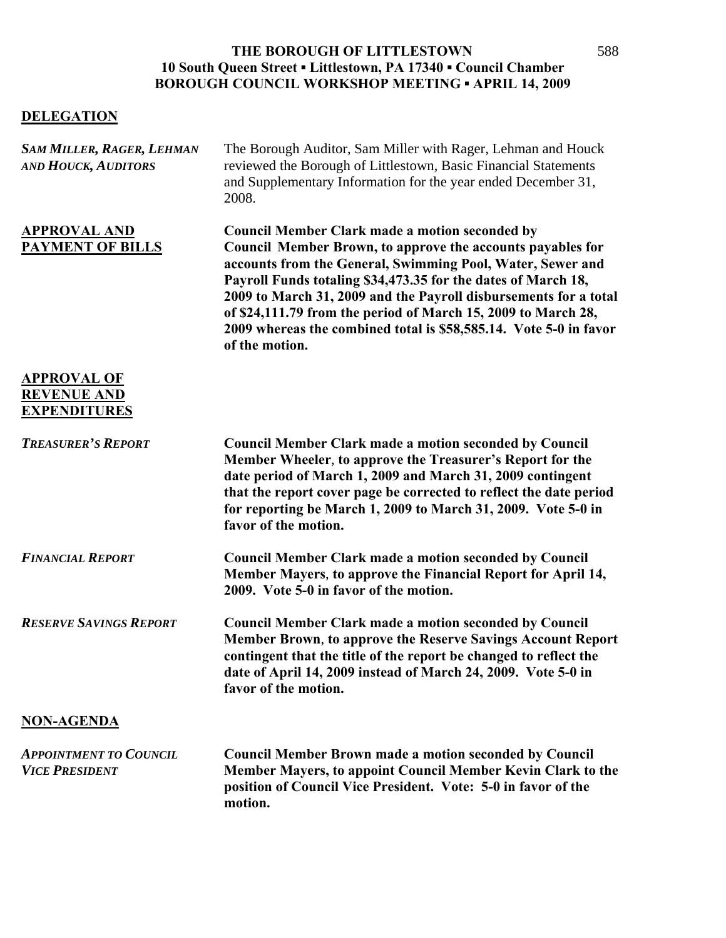## **DELEGATION**

| <b>SAM MILLER, RAGER, LEHMAN</b><br><b>AND HOUCK, AUDITORS</b>  | The Borough Auditor, Sam Miller with Rager, Lehman and Houck<br>reviewed the Borough of Littlestown, Basic Financial Statements<br>and Supplementary Information for the year ended December 31,<br>2008.                                                                                                                                                                                                                                                                      |
|-----------------------------------------------------------------|--------------------------------------------------------------------------------------------------------------------------------------------------------------------------------------------------------------------------------------------------------------------------------------------------------------------------------------------------------------------------------------------------------------------------------------------------------------------------------|
| <b>APPROVAL AND</b><br><b>PAYMENT OF BILLS</b>                  | <b>Council Member Clark made a motion seconded by</b><br>Council Member Brown, to approve the accounts payables for<br>accounts from the General, Swimming Pool, Water, Sewer and<br>Payroll Funds totaling \$34,473.35 for the dates of March 18,<br>2009 to March 31, 2009 and the Payroll disbursements for a total<br>of \$24,111.79 from the period of March 15, 2009 to March 28,<br>2009 whereas the combined total is \$58,585.14. Vote 5-0 in favor<br>of the motion. |
| <b>APPROVAL OF</b><br><b>REVENUE AND</b><br><b>EXPENDITURES</b> |                                                                                                                                                                                                                                                                                                                                                                                                                                                                                |
| <b>TREASURER'S REPORT</b>                                       | <b>Council Member Clark made a motion seconded by Council</b><br>Member Wheeler, to approve the Treasurer's Report for the<br>date period of March 1, 2009 and March 31, 2009 contingent<br>that the report cover page be corrected to reflect the date period<br>for reporting be March 1, 2009 to March 31, 2009. Vote 5-0 in<br>favor of the motion.                                                                                                                        |
| <b>FINANCIAL REPORT</b>                                         | <b>Council Member Clark made a motion seconded by Council</b><br>Member Mayers, to approve the Financial Report for April 14,<br>2009. Vote 5-0 in favor of the motion.                                                                                                                                                                                                                                                                                                        |
| <b>RESERVE SAVINGS REPORT</b>                                   | <b>Council Member Clark made a motion seconded by Council</b><br>Member Brown, to approve the Reserve Savings Account Report<br>contingent that the title of the report be changed to reflect the<br>date of April 14, 2009 instead of March 24, 2009. Vote 5-0 in<br>favor of the motion.                                                                                                                                                                                     |
| <b>NON-AGENDA</b>                                               |                                                                                                                                                                                                                                                                                                                                                                                                                                                                                |
| <b>APPOINTMENT TO COUNCIL</b><br><b>VICE PRESIDENT</b>          | <b>Council Member Brown made a motion seconded by Council</b><br>Member Mayers, to appoint Council Member Kevin Clark to the<br>position of Council Vice President. Vote: 5-0 in favor of the<br>motion.                                                                                                                                                                                                                                                                       |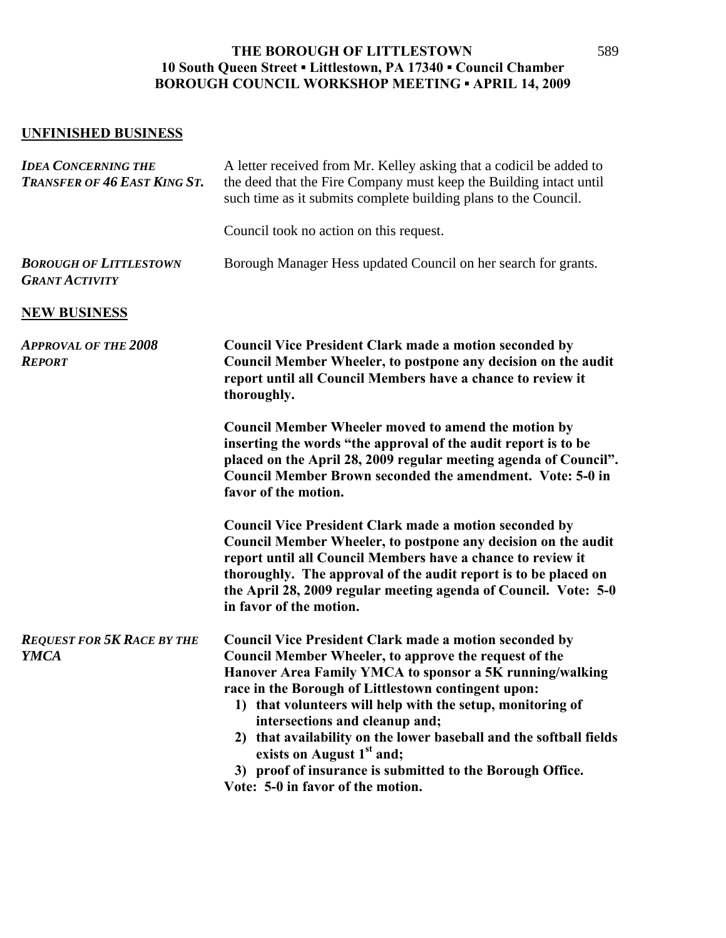## **UNFINISHED BUSINESS**

| <b>IDEA CONCERNING THE</b><br>TRANSFER OF 46 EAST KING ST. | A letter received from Mr. Kelley asking that a codicil be added to<br>the deed that the Fire Company must keep the Building intact until<br>such time as it submits complete building plans to the Council.                                                                                                                                                                                                                                                                                                                                               |
|------------------------------------------------------------|------------------------------------------------------------------------------------------------------------------------------------------------------------------------------------------------------------------------------------------------------------------------------------------------------------------------------------------------------------------------------------------------------------------------------------------------------------------------------------------------------------------------------------------------------------|
|                                                            | Council took no action on this request.                                                                                                                                                                                                                                                                                                                                                                                                                                                                                                                    |
| <b>BOROUGH OF LITTLESTOWN</b><br><b>GRANT ACTIVITY</b>     | Borough Manager Hess updated Council on her search for grants.                                                                                                                                                                                                                                                                                                                                                                                                                                                                                             |
| <b>NEW BUSINESS</b>                                        |                                                                                                                                                                                                                                                                                                                                                                                                                                                                                                                                                            |
| <b>APPROVAL OF THE 2008</b><br><b>REPORT</b>               | <b>Council Vice President Clark made a motion seconded by</b><br>Council Member Wheeler, to postpone any decision on the audit<br>report until all Council Members have a chance to review it<br>thoroughly.                                                                                                                                                                                                                                                                                                                                               |
|                                                            | <b>Council Member Wheeler moved to amend the motion by</b><br>inserting the words "the approval of the audit report is to be<br>placed on the April 28, 2009 regular meeting agenda of Council".<br><b>Council Member Brown seconded the amendment. Vote: 5-0 in</b><br>favor of the motion.                                                                                                                                                                                                                                                               |
|                                                            | <b>Council Vice President Clark made a motion seconded by</b><br>Council Member Wheeler, to postpone any decision on the audit<br>report until all Council Members have a chance to review it<br>thoroughly. The approval of the audit report is to be placed on<br>the April 28, 2009 regular meeting agenda of Council. Vote: 5-0<br>in favor of the motion.                                                                                                                                                                                             |
| <b>REQUEST FOR 5K RACE BY THE</b><br><b>YMCA</b>           | <b>Council Vice President Clark made a motion seconded by</b><br>Council Member Wheeler, to approve the request of the<br>Hanover Area Family YMCA to sponsor a 5K running/walking<br>race in the Borough of Littlestown contingent upon:<br>1) that volunteers will help with the setup, monitoring of<br>intersections and cleanup and;<br>2) that availability on the lower baseball and the softball fields<br>exists on August 1 <sup>st</sup> and;<br>3) proof of insurance is submitted to the Borough Office.<br>Vote: 5-0 in favor of the motion. |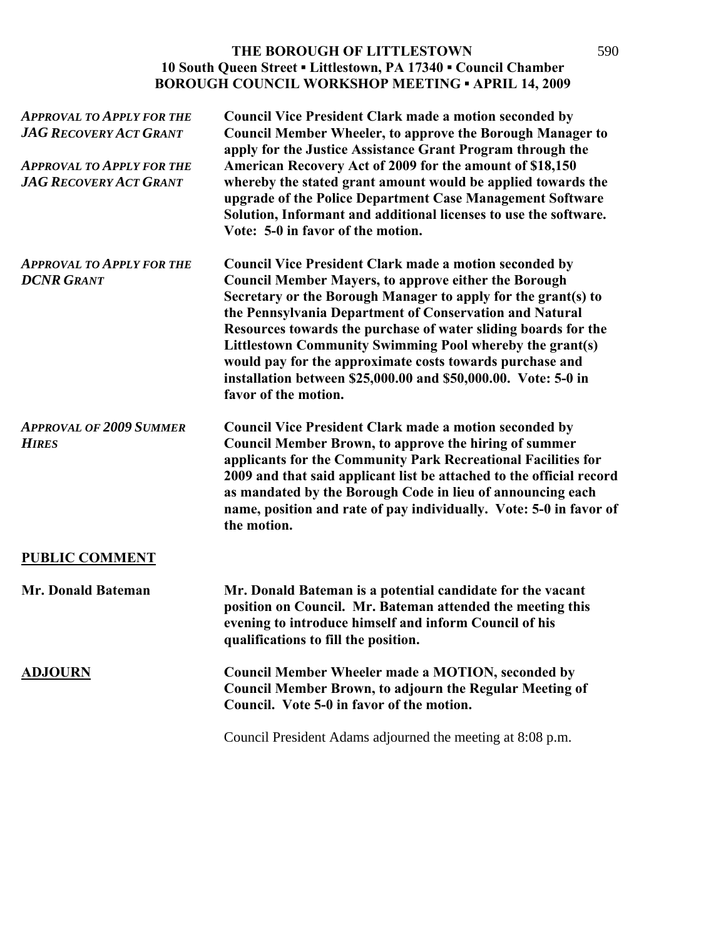| <b>APPROVAL TO APPLY FOR THE</b><br><b>JAG RECOVERY ACT GRANT</b><br><b>APPROVAL TO APPLY FOR THE</b><br><b>JAG RECOVERY ACT GRANT</b> | <b>Council Vice President Clark made a motion seconded by</b><br><b>Council Member Wheeler, to approve the Borough Manager to</b><br>apply for the Justice Assistance Grant Program through the<br>American Recovery Act of 2009 for the amount of \$18,150<br>whereby the stated grant amount would be applied towards the<br>upgrade of the Police Department Case Management Software<br>Solution, Informant and additional licenses to use the software.<br>Vote: 5-0 in favor of the motion.                                            |
|----------------------------------------------------------------------------------------------------------------------------------------|----------------------------------------------------------------------------------------------------------------------------------------------------------------------------------------------------------------------------------------------------------------------------------------------------------------------------------------------------------------------------------------------------------------------------------------------------------------------------------------------------------------------------------------------|
| <b>APPROVAL TO APPLY FOR THE</b><br><b>DCNR GRANT</b>                                                                                  | <b>Council Vice President Clark made a motion seconded by</b><br><b>Council Member Mayers, to approve either the Borough</b><br>Secretary or the Borough Manager to apply for the grant(s) to<br>the Pennsylvania Department of Conservation and Natural<br>Resources towards the purchase of water sliding boards for the<br>Littlestown Community Swimming Pool whereby the grant(s)<br>would pay for the approximate costs towards purchase and<br>installation between \$25,000.00 and \$50,000.00. Vote: 5-0 in<br>favor of the motion. |
| <b>APPROVAL OF 2009 SUMMER</b><br><b>HIRES</b>                                                                                         | <b>Council Vice President Clark made a motion seconded by</b><br><b>Council Member Brown, to approve the hiring of summer</b><br>applicants for the Community Park Recreational Facilities for<br>2009 and that said applicant list be attached to the official record<br>as mandated by the Borough Code in lieu of announcing each<br>name, position and rate of pay individually. Vote: 5-0 in favor of<br>the motion.                                                                                                                    |
| <b>PUBLIC COMMENT</b>                                                                                                                  |                                                                                                                                                                                                                                                                                                                                                                                                                                                                                                                                              |
| Mr. Donald Bateman                                                                                                                     | Mr. Donald Bateman is a potential candidate for the vacant<br>position on Council. Mr. Bateman attended the meeting this<br>evening to introduce himself and inform Council of his<br>qualifications to fill the position.                                                                                                                                                                                                                                                                                                                   |
| <b>ADJOURN</b>                                                                                                                         | <b>Council Member Wheeler made a MOTION, seconded by</b><br><b>Council Member Brown, to adjourn the Regular Meeting of</b><br>Council. Vote 5-0 in favor of the motion.                                                                                                                                                                                                                                                                                                                                                                      |

Council President Adams adjourned the meeting at 8:08 p.m.